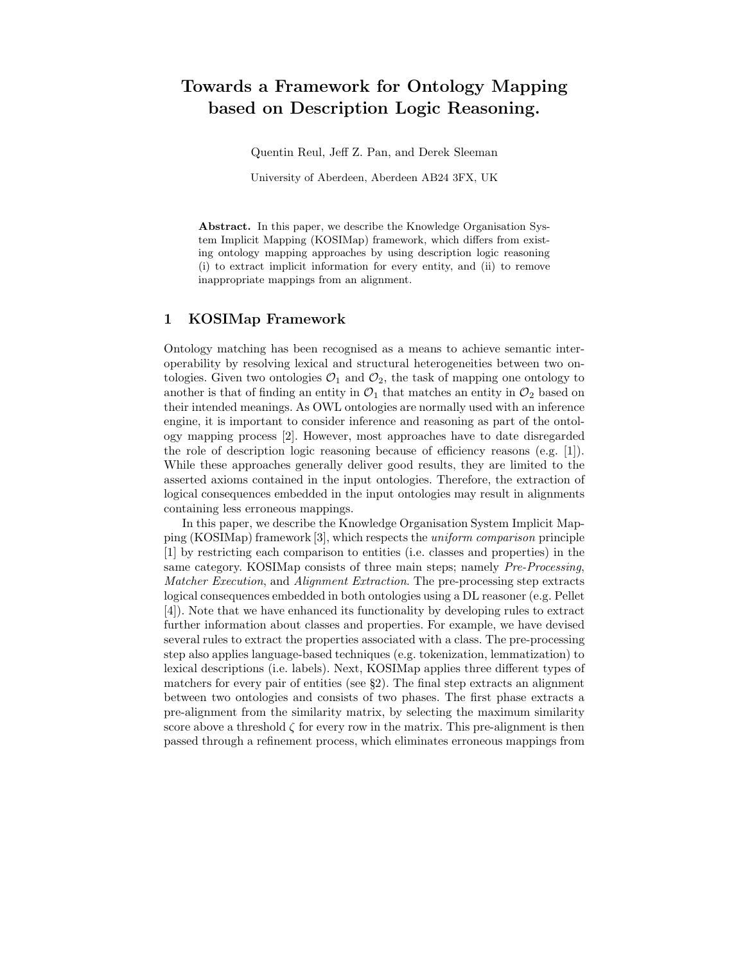## Towards a Framework for Ontology Mapping based on Description Logic Reasoning.

Quentin Reul, Jeff Z. Pan, and Derek Sleeman

University of Aberdeen, Aberdeen AB24 3FX, UK

Abstract. In this paper, we describe the Knowledge Organisation System Implicit Mapping (KOSIMap) framework, which differs from existing ontology mapping approaches by using description logic reasoning (i) to extract implicit information for every entity, and (ii) to remove inappropriate mappings from an alignment.

## 1 KOSIMap Framework

Ontology matching has been recognised as a means to achieve semantic interoperability by resolving lexical and structural heterogeneities between two ontologies. Given two ontologies  $\mathcal{O}_1$  and  $\mathcal{O}_2$ , the task of mapping one ontology to another is that of finding an entity in  $\mathcal{O}_1$  that matches an entity in  $\mathcal{O}_2$  based on their intended meanings. As OWL ontologies are normally used with an inference engine, it is important to consider inference and reasoning as part of the ontology mapping process [2]. However, most approaches have to date disregarded the role of description logic reasoning because of efficiency reasons (e.g. [1]). While these approaches generally deliver good results, they are limited to the asserted axioms contained in the input ontologies. Therefore, the extraction of logical consequences embedded in the input ontologies may result in alignments containing less erroneous mappings.

In this paper, we describe the Knowledge Organisation System Implicit Mapping (KOSIMap) framework [3], which respects the uniform comparison principle [1] by restricting each comparison to entities (i.e. classes and properties) in the same category. KOSIMap consists of three main steps; namely Pre-Processing, Matcher Execution, and Alignment Extraction. The pre-processing step extracts logical consequences embedded in both ontologies using a DL reasoner (e.g. Pellet [4]). Note that we have enhanced its functionality by developing rules to extract further information about classes and properties. For example, we have devised several rules to extract the properties associated with a class. The pre-processing step also applies language-based techniques (e.g. tokenization, lemmatization) to lexical descriptions (i.e. labels). Next, KOSIMap applies three different types of matchers for every pair of entities (see §2). The final step extracts an alignment between two ontologies and consists of two phases. The first phase extracts a pre-alignment from the similarity matrix, by selecting the maximum similarity score above a threshold  $\zeta$  for every row in the matrix. This pre-alignment is then passed through a refinement process, which eliminates erroneous mappings from